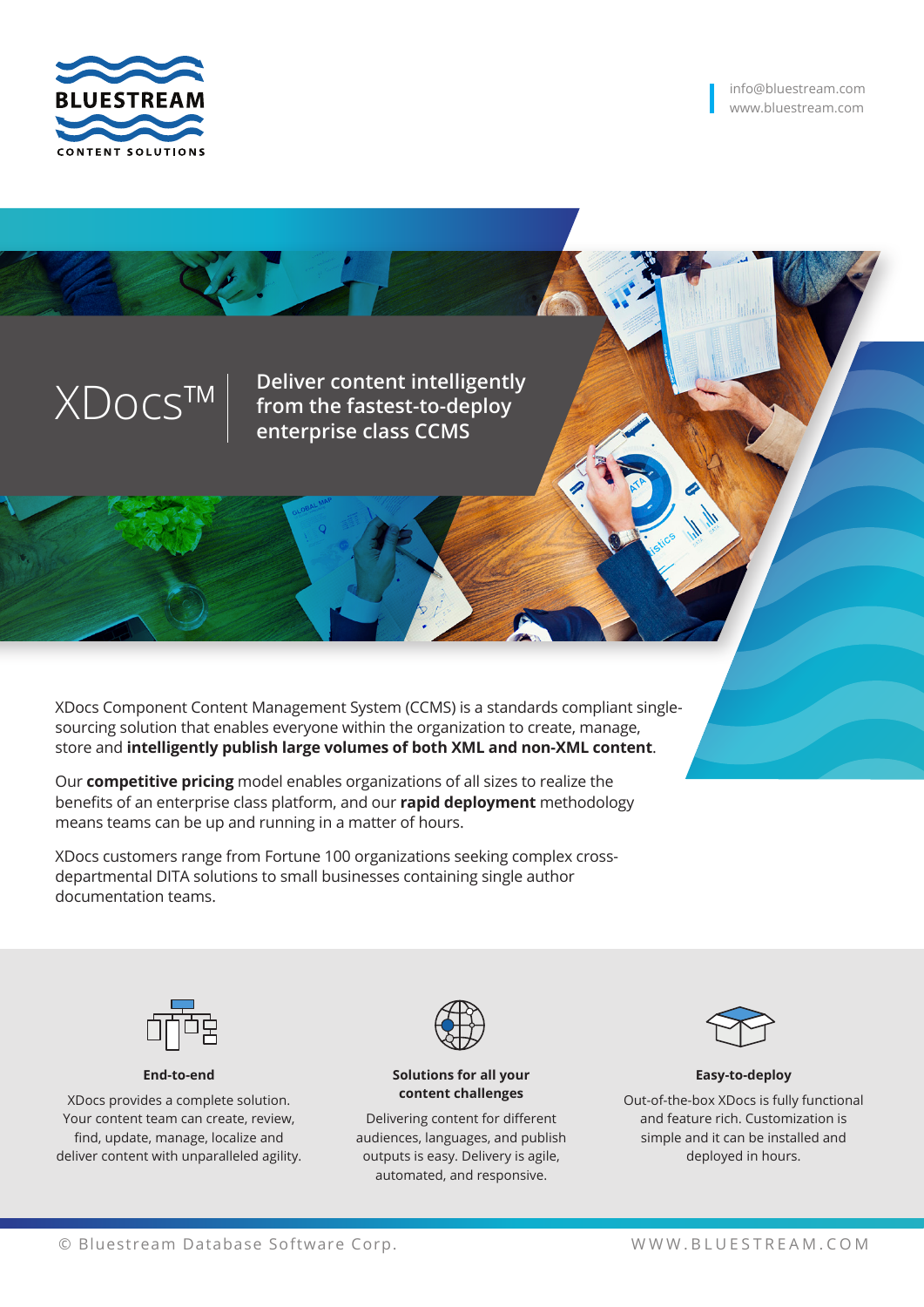

XDocs™ **Deliver content intelligently from the fastest-to-deploy enterprise class CCMS**

XDocs Component Content Management System (CCMS) is a standards compliant singlesourcing solution that enables everyone within the organization to create, manage, store and **intelligently publish large volumes of both XML and non-XML content**.

Our **competitive pricing** model enables organizations of all sizes to realize the benefits of an enterprise class platform, and our **rapid deployment** methodology means teams can be up and running in a matter of hours.

XDocs customers range from Fortune 100 organizations seeking complex crossdepartmental DITA solutions to small businesses containing single author documentation teams.



## **End-to-end**

XDocs provides a complete solution. Your content team can create, review, find, update, manage, localize and deliver content with unparalleled agility.



#### **Solutions for all your content challenges**

Delivering content for different audiences, languages, and publish outputs is easy. Delivery is agile, automated, and responsive.



### **Easy-to-deploy** Out-of-the-box XDocs is fully functional and feature rich. Customization is simple and it can be installed and deployed in hours.